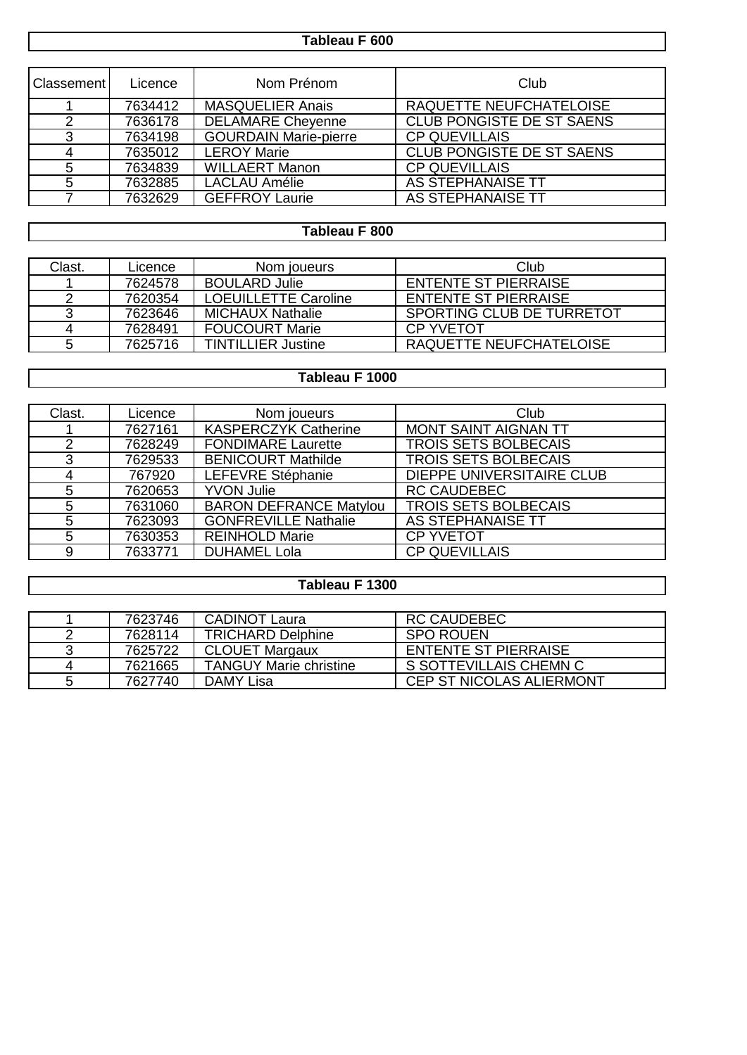# **Tableau F 600**

| Classement | Licence | Nom Prénom                   | Club                             |
|------------|---------|------------------------------|----------------------------------|
|            | 7634412 | <b>MASQUELIER Anais</b>      | RAQUETTE NEUFCHATELOISE          |
|            | 7636178 | <b>DELAMARE Cheyenne</b>     | CLUB PONGISTE DE ST SAENS        |
| 3          | 7634198 | <b>GOURDAIN Marie-pierre</b> | <b>CP QUEVILLAIS</b>             |
| 4          | 7635012 | <b>LEROY Marie</b>           | <b>CLUB PONGISTE DE ST SAENS</b> |
| 5          | 7634839 | <b>WILLAERT Manon</b>        | <b>CP QUEVILLAIS</b>             |
| 5          | 7632885 | <b>LACLAU Amélie</b>         | AS STEPHANAISE TT                |
|            | 7632629 | <b>GEFFROY Laurie</b>        | AS STEPHANAISE TT                |

# **Tableau F 800**

| Clast. | Licence | Nom joueurs                 | Club                        |
|--------|---------|-----------------------------|-----------------------------|
|        | 7624578 | <b>BOULARD Julie</b>        | <b>ENTENTE ST PIERRAISE</b> |
|        | 7620354 | <b>LOEUILLETTE Caroline</b> | <b>ENTENTE ST PIERRAISE</b> |
|        | 7623646 | <b>MICHAUX Nathalie</b>     | SPORTING CLUB DE TURRETOT   |
| 4      | 7628491 | <b>FOUCOURT Marie</b>       | CP YVFTOT                   |
| 5      | 7625716 | <b>TINTILLIER Justine</b>   | RAQUETTE NEUFCHATELOISE     |

#### **Tableau F 1000**

| Clast. | Licence | Nom joueurs                   | Club                             |
|--------|---------|-------------------------------|----------------------------------|
|        | 7627161 | <b>KASPERCZYK Catherine</b>   | <b>MONT SAINT AIGNAN TT</b>      |
| 2      | 7628249 | <b>FONDIMARE Laurette</b>     | <b>TROIS SETS BOLBECAIS</b>      |
| 3      | 7629533 | <b>BENICOURT Mathilde</b>     | <b>TROIS SETS BOLBECAIS</b>      |
| 4      | 767920  | LEFEVRE Stéphanie             | <b>DIEPPE UNIVERSITAIRE CLUB</b> |
| 5      | 7620653 | <b>YVON Julie</b>             | <b>RC CAUDEBEC</b>               |
| 5      | 7631060 | <b>BARON DEFRANCE Matylou</b> | <b>TROIS SETS BOLBECAIS</b>      |
| 5      | 7623093 | <b>GONFREVILLE Nathalie</b>   | AS STEPHANAISE TT                |
| 5      | 7630353 | <b>REINHOLD Marie</b>         | <b>CP YVETOT</b>                 |
| 9      | 7633771 | <b>DUHAMEL Lola</b>           | <b>CP QUEVILLAIS</b>             |

## **Tableau F 1300**

|   | 7623746 | <b>CADINOT Laura</b>          | <b>RC CAUDEBEC</b>              |
|---|---------|-------------------------------|---------------------------------|
| 2 | 7628114 | <b>TRICHARD Delphine</b>      | SPO ROUEN                       |
| 3 | 7625722 | <b>CLOUET Margaux</b>         | <b>ENTENTE ST PIERRAISE</b>     |
| 4 | 7621665 | <b>TANGUY Marie christine</b> | S SOTTEVILLAIS CHEMN C          |
| 5 | 7627740 | DAMY Lisa                     | <b>CEP ST NICOLAS ALIERMONT</b> |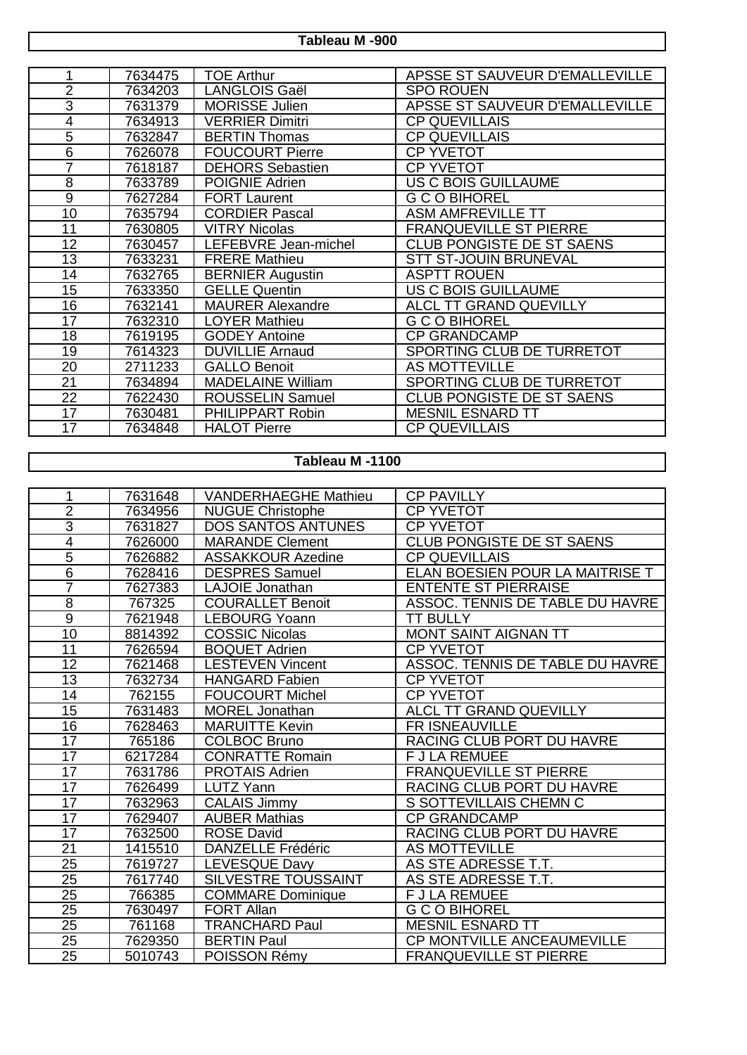**Tableau M -900**

|                | 7634475 | <b>TOE Arthur</b>        | APSSE ST SAUVEUR D'EMALLEVILLE   |
|----------------|---------|--------------------------|----------------------------------|
| $\overline{2}$ | 7634203 | <b>LANGLOIS Gaël</b>     | <b>SPO ROUEN</b>                 |
| $\overline{3}$ | 7631379 | <b>MORISSE Julien</b>    | APSSE ST SAUVEUR D'EMALLEVILLE   |
| 4              | 7634913 | <b>VERRIER Dimitri</b>   | <b>CP QUEVILLAIS</b>             |
| 5              | 7632847 | <b>BERTIN Thomas</b>     | <b>CP QUEVILLAIS</b>             |
| 6              | 7626078 | <b>FOUCOURT Pierre</b>   | <b>CP YVETOT</b>                 |
| 7              | 7618187 | <b>DEHORS Sebastien</b>  | <b>CP YVETOT</b>                 |
| 8              | 7633789 | POIGNIE Adrien           | US C BOIS GUILLAUME              |
| 9              | 7627284 | <b>FORT Laurent</b>      | <b>G C O BIHOREL</b>             |
| 10             | 7635794 | <b>CORDIER Pascal</b>    | <b>ASM AMFREVILLE TT</b>         |
| 11             | 7630805 | <b>VITRY Nicolas</b>     | <b>FRANQUEVILLE ST PIERRE</b>    |
| 12             | 7630457 | LEFEBVRE Jean-michel     | CLUB PONGISTE DE ST SAENS        |
| 13             | 7633231 | <b>FRERE Mathieu</b>     | <b>STT ST-JOUIN BRUNEVAL</b>     |
| 14             | 7632765 | <b>BERNIER Augustin</b>  | <b>ASPTT ROUEN</b>               |
| 15             | 7633350 | <b>GELLE Quentin</b>     | <b>US C BOIS GUILLAUME</b>       |
| 16             | 7632141 | <b>MAURER Alexandre</b>  | <b>ALCL TT GRAND QUEVILLY</b>    |
| 17             | 7632310 | <b>LOYER Mathieu</b>     | <b>G C O BIHOREL</b>             |
| 18             | 7619195 | <b>GODEY Antoine</b>     | <b>CP GRANDCAMP</b>              |
| 19             | 7614323 | <b>DUVILLIE Arnaud</b>   | SPORTING CLUB DE TURRETOT        |
| 20             | 2711233 | <b>GALLO Benoit</b>      | <b>AS MOTTEVILLE</b>             |
| 21             | 7634894 | <b>MADELAINE William</b> | SPORTING CLUB DE TURRETOT        |
| 22             | 7622430 | <b>ROUSSELIN Samuel</b>  | <b>CLUB PONGISTE DE ST SAENS</b> |
| 17             | 7630481 | <b>PHILIPPART Robin</b>  | <b>MESNIL ESNARD TT</b>          |
| 17             | 7634848 | <b>HALOT Pierre</b>      | <b>CP QUEVILLAIS</b>             |

## **Tableau M -1100**

| 1               | 7631648 | <b>VANDERHAEGHE Mathieu</b> | <b>CP PAVILLY</b>               |
|-----------------|---------|-----------------------------|---------------------------------|
| $\overline{2}$  | 7634956 | <b>NUGUE Christophe</b>     | <b>CP YVETOT</b>                |
| $\overline{3}$  | 7631827 | <b>DOS SANTOS ANTUNES</b>   | <b>CP YVETOT</b>                |
| $\overline{4}$  | 7626000 | <b>MARANDE Clement</b>      | CLUB PONGISTE DE ST SAENS       |
| $\overline{5}$  | 7626882 | <b>ASSAKKOUR Azedine</b>    | <b>CP QUEVILLAIS</b>            |
| $\overline{6}$  | 7628416 | <b>DESPRES Samuel</b>       | ELAN BOESIEN POUR LA MAITRISE T |
| $\overline{7}$  | 7627383 | <b>LAJOIE</b> Jonathan      | <b>ENTENTE ST PIERRAISE</b>     |
| 8               | 767325  | <b>COURALLET Benoit</b>     | ASSOC. TENNIS DE TABLE DU HAVRE |
| $\overline{9}$  | 7621948 | <b>LEBOURG Yoann</b>        | <b>TT BULLY</b>                 |
| 10              | 8814392 | <b>COSSIC Nicolas</b>       | <b>MONT SAINT AIGNAN TT</b>     |
| 11              | 7626594 | <b>BOQUET Adrien</b>        | <b>CP YVETOT</b>                |
| $\overline{12}$ | 7621468 | <b>LESTEVEN Vincent</b>     | ASSOC. TENNIS DE TABLE DU HAVRE |
| $\overline{13}$ | 7632734 | <b>HANGARD Fabien</b>       | <b>CP YVETOT</b>                |
| 14              | 762155  | <b>FOUCOURT Michel</b>      | <b>CP YVETOT</b>                |
| 15              | 7631483 | <b>MOREL Jonathan</b>       | ALCL TT GRAND QUEVILLY          |
| 16              | 7628463 | <b>MARUITTE Kevin</b>       | FR ISNEAUVILLE                  |
| 17              | 765186  | <b>COLBOC Bruno</b>         | RACING CLUB PORT DU HAVRE       |
| $\overline{17}$ | 6217284 | <b>CONRATTE Romain</b>      | <b>F J LA REMUEE</b>            |
| $\overline{17}$ | 7631786 | <b>PROTAIS Adrien</b>       | <b>FRANQUEVILLE ST PIERRE</b>   |
| 17              | 7626499 | <b>LUTZ Yann</b>            | RACING CLUB PORT DU HAVRE       |
| $\overline{17}$ | 7632963 | <b>CALAIS Jimmy</b>         | S SOTTEVILLAIS CHEMN C          |
| 17              | 7629407 | <b>AUBER Mathias</b>        | <b>CP GRANDCAMP</b>             |
| 17              | 7632500 | <b>ROSE David</b>           | RACING CLUB PORT DU HAVRE       |
| $\overline{21}$ | 1415510 | <b>DANZELLE Frédéric</b>    | <b>AS MOTTEVILLE</b>            |
| $\overline{25}$ | 7619727 | LEVESQUE Davy               | AS STE ADRESSE T.T.             |
| 25              | 7617740 | SILVESTRE TOUSSAINT         | AS STE ADRESSE T.T.             |
| $\overline{25}$ | 766385  | <b>COMMARE Dominique</b>    | <b>F J LA REMUEE</b>            |
| 25              | 7630497 | <b>FORT Allan</b>           | <b>G C O BIHOREL</b>            |
| $\overline{25}$ | 761168  | <b>TRANCHARD Paul</b>       | <b>MESNIL ESNARD TT</b>         |
| $\overline{25}$ | 7629350 | <b>BERTIN Paul</b>          | CP MONTVILLE ANCEAUMEVILLE      |
| 25              | 5010743 | POISSON Rémy                | <b>FRANQUEVILLE ST PIERRE</b>   |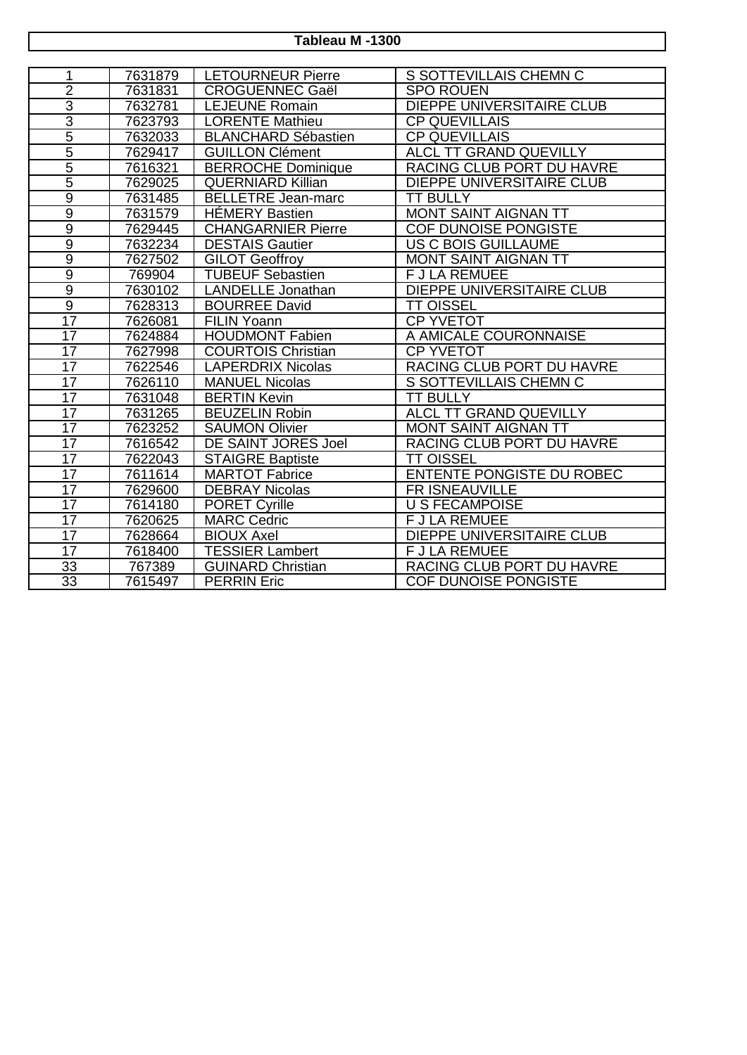**Tableau M -1300**

| 1                       | 7631879 | <b>LETOURNEUR Pierre</b>   | S SOTTEVILLAIS CHEMN C           |
|-------------------------|---------|----------------------------|----------------------------------|
| $\overline{2}$          | 7631831 | <b>CROGUENNEC Gaël</b>     | <b>SPO ROUEN</b>                 |
| $\overline{3}$          | 7632781 | <b>LEJEUNE Romain</b>      | <b>DIEPPE UNIVERSITAIRE CLUB</b> |
| $\overline{\mathbf{3}}$ | 7623793 | <b>LORENTE Mathieu</b>     | <b>CP QUEVILLAIS</b>             |
| 5                       | 7632033 | <b>BLANCHARD Sébastien</b> | <b>CP QUEVILLAIS</b>             |
| $\overline{5}$          | 7629417 | <b>GUILLON Clément</b>     | ALCL TT GRAND QUEVILLY           |
| $\overline{5}$          | 7616321 | <b>BERROCHE Dominique</b>  | RACING CLUB PORT DU HAVRE        |
| $\overline{5}$          | 7629025 | <b>QUERNIARD Killian</b>   | <b>DIEPPE UNIVERSITAIRE CLUB</b> |
| $\overline{9}$          | 7631485 | <b>BELLETRE</b> Jean-marc  | <b>TT BULLY</b>                  |
| $\overline{9}$          | 7631579 | <b>HÉMERY Bastien</b>      | MONT SAINT AIGNAN TT             |
| $\overline{9}$          | 7629445 | <b>CHANGARNIER Pierre</b>  | COF DUNOISE PONGISTE             |
| $\overline{9}$          | 7632234 | <b>DESTAIS Gautier</b>     | <b>US C BOIS GUILLAUME</b>       |
| $\overline{9}$          | 7627502 | <b>GILOT Geoffroy</b>      | MONT SAINT AIGNAN TT             |
| $\overline{9}$          | 769904  | <b>TUBEUF Sebastien</b>    | <b>F J LA REMUEE</b>             |
| $\overline{9}$          | 7630102 | <b>LANDELLE</b> Jonathan   | <b>DIEPPE UNIVERSITAIRE CLUB</b> |
| $\overline{9}$          | 7628313 | <b>BOURREE David</b>       | <b>TT OISSEL</b>                 |
| $\overline{17}$         | 7626081 | <b>FILIN Yoann</b>         | <b>CP YVETOT</b>                 |
| $\overline{17}$         | 7624884 | <b>HOUDMONT Fabien</b>     | A AMICALE COURONNAISE            |
| 17                      | 7627998 | <b>COURTOIS Christian</b>  | <b>CP YVETOT</b>                 |
| 17                      | 7622546 | <b>LAPERDRIX Nicolas</b>   | RACING CLUB PORT DU HAVRE        |
| $\overline{17}$         | 7626110 | <b>MANUEL Nicolas</b>      | S SOTTEVILLAIS CHEMN C           |
| 17                      | 7631048 | <b>BERTIN Kevin</b>        | <b>TT BULLY</b>                  |
| $\overline{17}$         | 7631265 | <b>BEUZELIN Robin</b>      | <b>ALCL TT GRAND QUEVILLY</b>    |
| $\overline{17}$         | 7623252 | <b>SAUMON Olivier</b>      | MONT SAINT AIGNAN TT             |
| 17                      | 7616542 | DE SAINT JORES Joel        | RACING CLUB PORT DU HAVRE        |
| $\overline{17}$         | 7622043 | <b>STAIGRE Baptiste</b>    | <b>TT OISSEL</b>                 |
| $\overline{17}$         | 7611614 | <b>MARTOT Fabrice</b>      | <b>ENTENTE PONGISTE DU ROBEC</b> |
| 17                      | 7629600 | <b>DEBRAY Nicolas</b>      | <b>FR ISNEAUVILLE</b>            |
| $\overline{17}$         | 7614180 | <b>PORET Cyrille</b>       | <b>U S FECAMPOISE</b>            |
| 17                      | 7620625 | <b>MARC Cedric</b>         | <b>FJLA REMUEE</b>               |
| 17                      | 7628664 | <b>BIOUX Axel</b>          | <b>DIEPPE UNIVERSITAIRE CLUB</b> |
| 17                      | 7618400 | <b>TESSIER Lambert</b>     | <b>F J LA REMUEE</b>             |
| $\overline{33}$         | 767389  | <b>GUINARD Christian</b>   | RACING CLUB PORT DU HAVRE        |
| $\overline{33}$         | 7615497 | <b>PERRIN Eric</b>         | <b>COF DUNOISE PONGISTE</b>      |